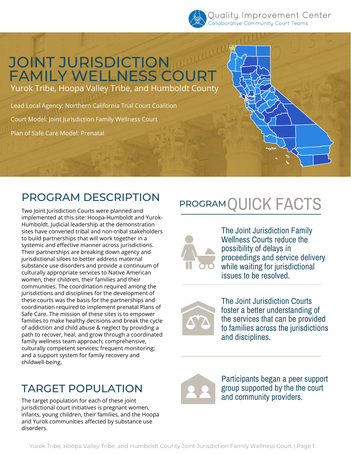

## JOINT JURISDICTION FAMILY WELLNESS COURT

Yurok Tribe, Hoopa Valley Tribe, and Humboldt County

Lead Local Agency: Northern California Trial Court Coalition Court Model: Joint Jurisdiction Family Wellness Court Plan of Safe Care Model: Prenatal

### PROGRAM DESCRIPTION

Two Joint Jurisdiction Courts were planned and implemented at this site: Hoopa-Humboldt and Yurok-Humboldt. Judicial leadership at the demonstration sites have convened tribal and non-tribal stakeholders to build partnerships that will work together in a systemic and effective manner across jurisdictions. Their partnerships are breaking down agency and jurisdictional siloes to better address maternal substance use disorders and provide a continuum of culturally appropriate services to Native American women, their children, their families and their communities. The coordination required among the jurisdictions and disciplines for the development of these courts was the basis for the partnerships and coordination required to implement prenatal Plans of Safe Care. The mission of these sites is to empower families to make healthy decisions and break the cycle of addiction and child abuse & neglect by providing a path to recover, heal, and grow through a coordinated family wellness team approach; comprehensive, culturally competent services; frequent monitoring; and a support system for family recovery and childwell-being.

### TARGET POPULATION

The target population for each of these joint jurisdictional court initiatives is pregnant women, infants, young children, their families, and the Hoopa and Yurok communities affected by substance use disorders.

# PROGRAM QUICK FACTS



The Joint Jurisdiction Family Wellness Courts reduce the possibility of delays in proceedings and service delivery while waiting for jurisdictional issues to be resolved.



The Joint Jurisdiction Courts foster a better understanding of the services that can be provided to families across the jurisdictions and disciplines.



Participants began a peer support group supported by the the court and community providers.